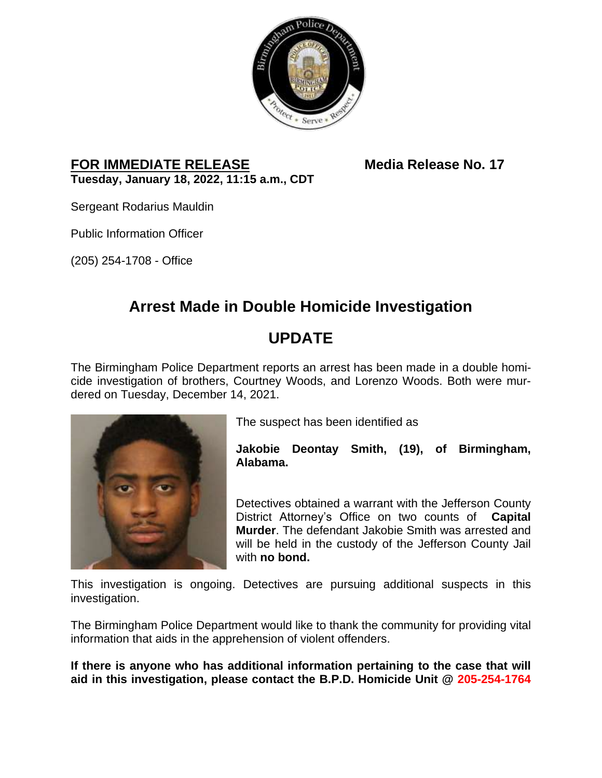

#### **FOR IMMEDIATE RELEASE Media Release No. 17 Tuesday, January 18, 2022, 11:15 a.m., CDT**

Sergeant Rodarius Mauldin

Public Information Officer

(205) 254-1708 - Office

## **Arrest Made in Double Homicide Investigation**

# **UPDATE**

The Birmingham Police Department reports an arrest has been made in a double homicide investigation of brothers, Courtney Woods, and Lorenzo Woods. Both were murdered on Tuesday, December 14, 2021.



The suspect has been identified as

**Jakobie Deontay Smith, (19), of Birmingham, Alabama.**

Detectives obtained a warrant with the Jefferson County District Attorney's Office on two counts of **Capital Murder**. The defendant Jakobie Smith was arrested and will be held in the custody of the Jefferson County Jail with **no bond.**

This investigation is ongoing. Detectives are pursuing additional suspects in this investigation.

The Birmingham Police Department would like to thank the community for providing vital information that aids in the apprehension of violent offenders.

**If there is anyone who has additional information pertaining to the case that will aid in this investigation, please contact the B.P.D. Homicide Unit @ 205-254-1764**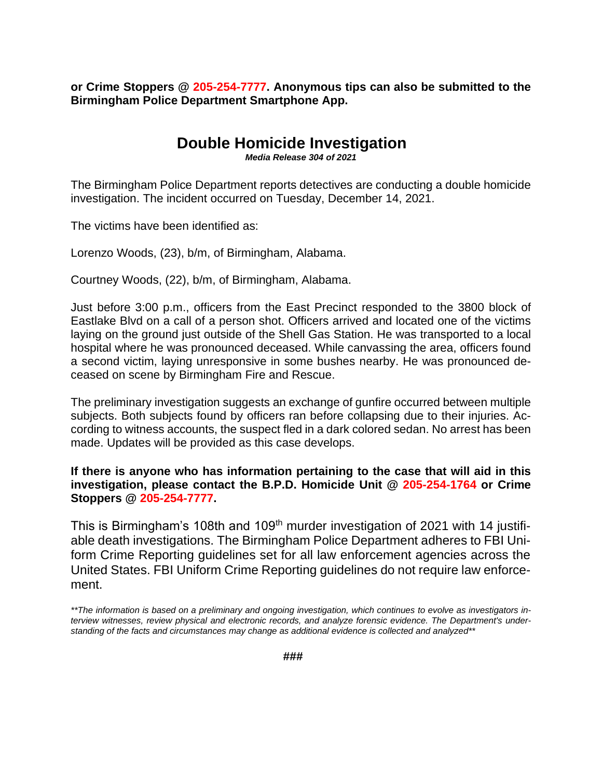**or Crime Stoppers @ 205-254-7777. Anonymous tips can also be submitted to the Birmingham Police Department Smartphone App.**

### **Double Homicide Investigation**

*Media Release 304 of 2021*

The Birmingham Police Department reports detectives are conducting a double homicide investigation. The incident occurred on Tuesday, December 14, 2021.

The victims have been identified as:

Lorenzo Woods, (23), b/m, of Birmingham, Alabama.

Courtney Woods, (22), b/m, of Birmingham, Alabama.

Just before 3:00 p.m., officers from the East Precinct responded to the 3800 block of Eastlake Blvd on a call of a person shot. Officers arrived and located one of the victims laying on the ground just outside of the Shell Gas Station. He was transported to a local hospital where he was pronounced deceased. While canvassing the area, officers found a second victim, laying unresponsive in some bushes nearby. He was pronounced deceased on scene by Birmingham Fire and Rescue.

The preliminary investigation suggests an exchange of gunfire occurred between multiple subjects. Both subjects found by officers ran before collapsing due to their injuries. According to witness accounts, the suspect fled in a dark colored sedan. No arrest has been made. Updates will be provided as this case develops.

**If there is anyone who has information pertaining to the case that will aid in this investigation, please contact the B.P.D. Homicide Unit @ 205-254-1764 or Crime Stoppers @ 205-254-7777.**

This is Birmingham's 108th and 109<sup>th</sup> murder investigation of 2021 with 14 justifiable death investigations. The Birmingham Police Department adheres to FBI Uniform Crime Reporting guidelines set for all law enforcement agencies across the United States. FBI Uniform Crime Reporting guidelines do not require law enforcement.

<sup>\*\*</sup>The information is based on a preliminary and ongoing investigation, which continues to evolve as investigators in*terview witnesses, review physical and electronic records, and analyze forensic evidence. The Department's understanding of the facts and circumstances may change as additional evidence is collected and analyzed\*\**